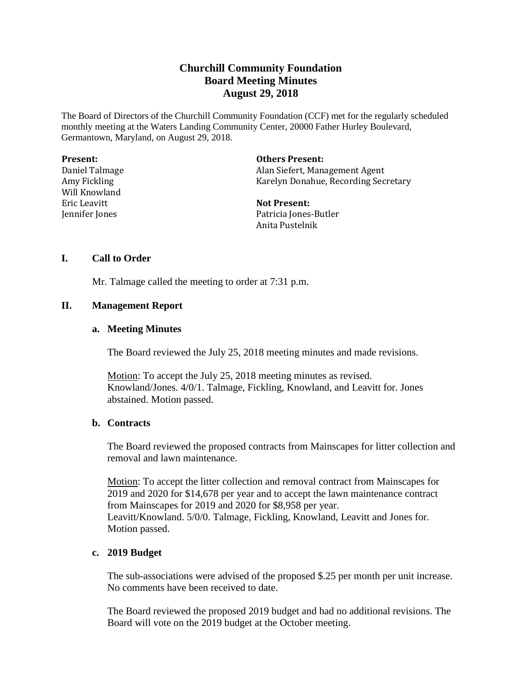# **Churchill Community Foundation Board Meeting Minutes August 29, 2018**

The Board of Directors of the Churchill Community Foundation (CCF) met for the regularly scheduled monthly meeting at the Waters Landing Community Center, 20000 Father Hurley Boulevard, Germantown, Maryland, on August 29, 2018.

| <b>Present:</b> | <b>Others Present:</b>               |
|-----------------|--------------------------------------|
| Daniel Talmage  | Alan Siefert, Management Agent       |
| Amy Fickling    | Karelyn Donahue, Recording Secretary |
| Will Knowland   |                                      |
| Eric Leavitt    | <b>Not Present:</b>                  |
| Jennifer Jones  | Patricia Jones-Butler                |
|                 | Anita Pustelnik                      |

# **I. Call to Order**

Mr. Talmage called the meeting to order at 7:31 p.m.

# **II. Management Report**

#### **a. Meeting Minutes**

The Board reviewed the July 25, 2018 meeting minutes and made revisions.

Motion: To accept the July 25, 2018 meeting minutes as revised. Knowland/Jones. 4/0/1. Talmage, Fickling, Knowland, and Leavitt for. Jones abstained. Motion passed.

### **b. Contracts**

The Board reviewed the proposed contracts from Mainscapes for litter collection and removal and lawn maintenance.

Motion: To accept the litter collection and removal contract from Mainscapes for 2019 and 2020 for \$14,678 per year and to accept the lawn maintenance contract from Mainscapes for 2019 and 2020 for \$8,958 per year. Leavitt/Knowland. 5/0/0. Talmage, Fickling, Knowland, Leavitt and Jones for. Motion passed.

# **c. 2019 Budget**

The sub-associations were advised of the proposed \$.25 per month per unit increase. No comments have been received to date.

The Board reviewed the proposed 2019 budget and had no additional revisions. The Board will vote on the 2019 budget at the October meeting.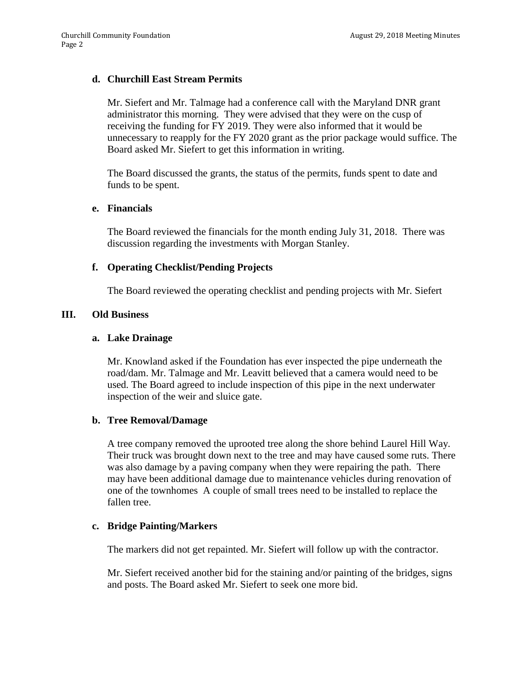# **d. Churchill East Stream Permits**

Mr. Siefert and Mr. Talmage had a conference call with the Maryland DNR grant administrator this morning. They were advised that they were on the cusp of receiving the funding for FY 2019. They were also informed that it would be unnecessary to reapply for the FY 2020 grant as the prior package would suffice. The Board asked Mr. Siefert to get this information in writing.

The Board discussed the grants, the status of the permits, funds spent to date and funds to be spent.

# **e. Financials**

The Board reviewed the financials for the month ending July 31, 2018. There was discussion regarding the investments with Morgan Stanley.

# **f. Operating Checklist/Pending Projects**

The Board reviewed the operating checklist and pending projects with Mr. Siefert

# **III. Old Business**

#### **a. Lake Drainage**

Mr. Knowland asked if the Foundation has ever inspected the pipe underneath the road/dam. Mr. Talmage and Mr. Leavitt believed that a camera would need to be used. The Board agreed to include inspection of this pipe in the next underwater inspection of the weir and sluice gate.

#### **b. Tree Removal/Damage**

A tree company removed the uprooted tree along the shore behind Laurel Hill Way. Their truck was brought down next to the tree and may have caused some ruts. There was also damage by a paving company when they were repairing the path. There may have been additional damage due to maintenance vehicles during renovation of one of the townhomes A couple of small trees need to be installed to replace the fallen tree.

#### **c. Bridge Painting/Markers**

The markers did not get repainted. Mr. Siefert will follow up with the contractor.

Mr. Siefert received another bid for the staining and/or painting of the bridges, signs and posts. The Board asked Mr. Siefert to seek one more bid.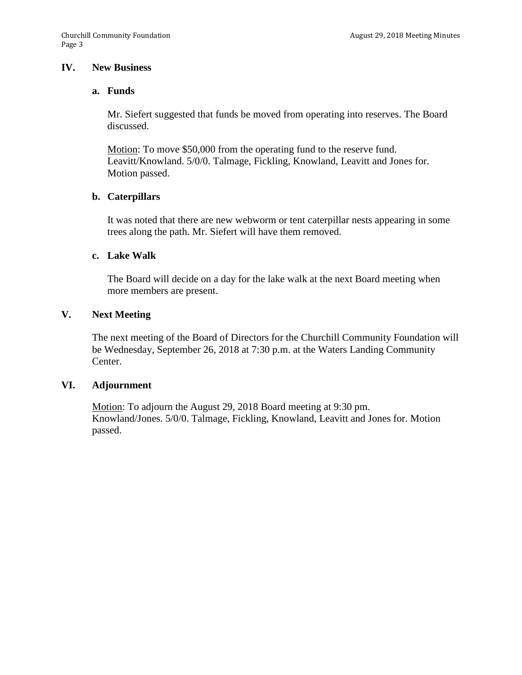# **IV. New Business**

### **a. Funds**

Mr. Siefert suggested that funds be moved from operating into reserves. The Board discussed.

Motion: To move \$50,000 from the operating fund to the reserve fund. Leavitt/Knowland. 5/0/0. Talmage, Fickling, Knowland, Leavitt and Jones for. Motion passed.

# **b. Caterpillars**

It was noted that there are new webworm or tent caterpillar nests appearing in some trees along the path. Mr. Siefert will have them removed.

# **c. Lake Walk**

The Board will decide on a day for the lake walk at the next Board meeting when more members are present.

# **V. Next Meeting**

The next meeting of the Board of Directors for the Churchill Community Foundation will be Wednesday, September 26, 2018 at 7:30 p.m. at the Waters Landing Community Center.

# **VI. Adjournment**

Motion: To adjourn the August 29, 2018 Board meeting at 9:30 pm. Knowland/Jones. 5/0/0. Talmage, Fickling, Knowland, Leavitt and Jones for. Motion passed.